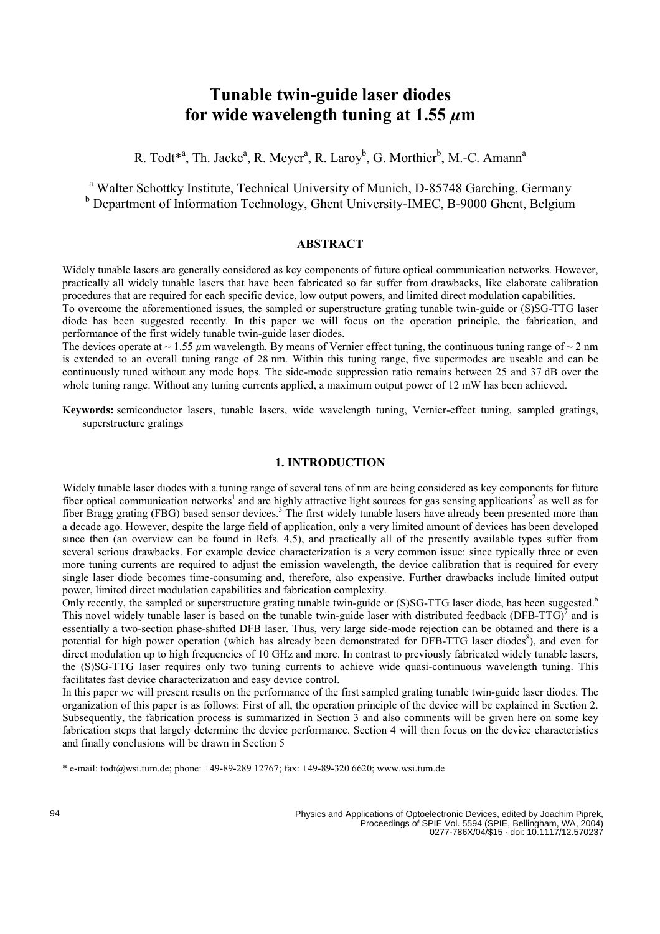# **Tunable twin-guide laser diodes for wide wavelength tuning at 1.55** *µ***m**

R. Todt<sup>\*a</sup>, Th. Jacke<sup>a</sup>, R. Meyer<sup>a</sup>, R. Laroy<sup>b</sup>, G. Morthier<sup>b</sup>, M.-C. Amann<sup>a</sup>

<sup>a</sup> Walter Schottky Institute, Technical University of Munich, D-85748 Garching, Germany **b** Department of Information Technology, Ghent University-IMEC, B-9000 Ghent, Belgium

## **ABSTRACT**

Widely tunable lasers are generally considered as key components of future optical communication networks. However, practically all widely tunable lasers that have been fabricated so far suffer from drawbacks, like elaborate calibration procedures that are required for each specific device, low output powers, and limited direct modulation capabilities. To overcome the aforementioned issues, the sampled or superstructure grating tunable twin-guide or (S)SG-TTG laser

diode has been suggested recently. In this paper we will focus on the operation principle, the fabrication, and performance of the first widely tunable twin-guide laser diodes.

The devices operate at  $\sim 1.55 \mu m$  wavelength. By means of Vernier effect tuning, the continuous tuning range of  $\sim 2 \text{ nm}$ is extended to an overall tuning range of 28 nm. Within this tuning range, five supermodes are useable and can be continuously tuned without any mode hops. The side-mode suppression ratio remains between 25 and 37 dB over the whole tuning range. Without any tuning currents applied, a maximum output power of 12 mW has been achieved.

**Keywords:** semiconductor lasers, tunable lasers, wide wavelength tuning, Vernier-effect tuning, sampled gratings, superstructure gratings

### **1. INTRODUCTION**

Widely tunable laser diodes with a tuning range of several tens of nm are being considered as key components for future fiber optical communication networks<sup>1</sup> and are highly attractive light sources for gas sensing applications<sup>2</sup> as well as for fiber Bragg grating (FBG) based sensor devices.<sup>3</sup> The first widely tunable lasers have already been presented more than a decade ago. However, despite the large field of application, only a very limited amount of devices has been developed since then (an overview can be found in Refs. 4,5), and practically all of the presently available types suffer from several serious drawbacks. For example device characterization is a very common issue: since typically three or even more tuning currents are required to adjust the emission wavelength, the device calibration that is required for every single laser diode becomes time-consuming and, therefore, also expensive. Further drawbacks include limited output power, limited direct modulation capabilities and fabrication complexity.

Only recently, the sampled or superstructure grating tunable twin-guide or (S)SG-TTG laser diode, has been suggested.<sup>6</sup> This novel widely tunable laser is based on the tunable twin-guide laser with distributed feedback (DFB-TTG) $^7$  and is essentially a two-section phase-shifted DFB laser. Thus, very large side-mode rejection can be obtained and there is a potential for high power operation (which has already been demonstrated for DFB-TTG laser diodes<sup>8</sup>), and even for direct modulation up to high frequencies of 10 GHz and more. In contrast to previously fabricated widely tunable lasers, the (S)SG-TTG laser requires only two tuning currents to achieve wide quasi-continuous wavelength tuning. This facilitates fast device characterization and easy device control.

In this paper we will present results on the performance of the first sampled grating tunable twin-guide laser diodes. The organization of this paper is as follows: First of all, the operation principle of the device will be explained in Section 2. Subsequently, the fabrication process is summarized in Section 3 and also comments will be given here on some key fabrication steps that largely determine the device performance. Section 4 will then focus on the device characteristics and finally conclusions will be drawn in Section 5

\* e-mail: todt@wsi.tum.de; phone: +49-89-289 12767; fax: +49-89-320 6620; www.wsi.tum.de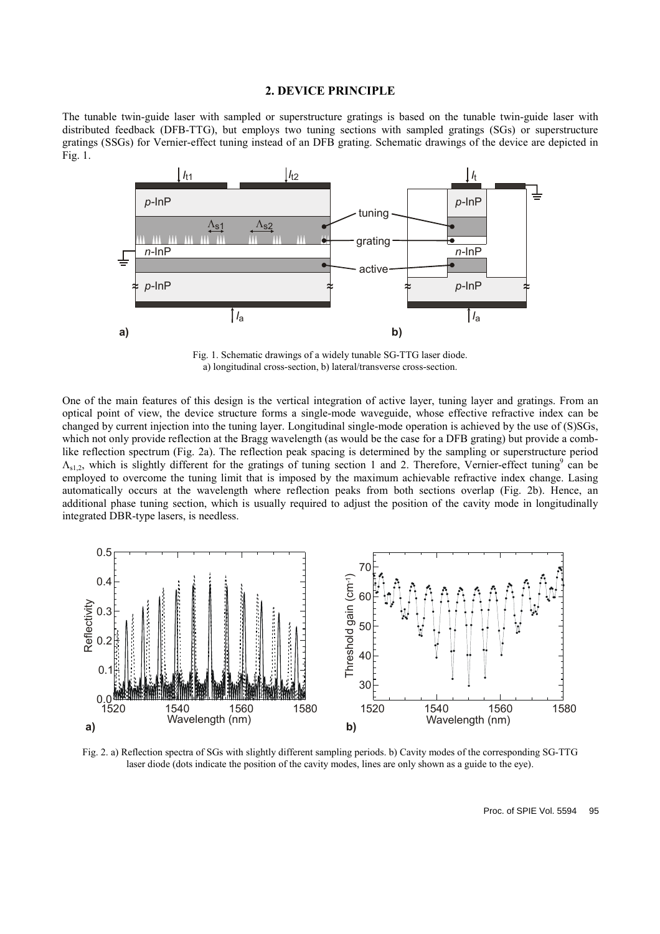## **2. DEVICE PRINCIPLE**

The tunable twin-guide laser with sampled or superstructure gratings is based on the tunable twin-guide laser with distributed feedback (DFB-TTG), but employs two tuning sections with sampled gratings (SGs) or superstructure gratings (SSGs) for Vernier-effect tuning instead of an DFB grating. Schematic drawings of the device are depicted in Fig. 1.



Fig. 1. Schematic drawings of a widely tunable SG-TTG laser diode. a) longitudinal cross-section, b) lateral/transverse cross-section.

One of the main features of this design is the vertical integration of active layer, tuning layer and gratings. From an optical point of view, the device structure forms a single-mode waveguide, whose effective refractive index can be changed by current injection into the tuning layer. Longitudinal single-mode operation is achieved by the use of (S)SGs, which not only provide reflection at the Bragg wavelength (as would be the case for a DFB grating) but provide a comblike reflection spectrum (Fig. 2a). The reflection peak spacing is determined by the sampling or superstructure period  $\Lambda_{s1,2}$ , which is slightly different for the gratings of tuning section 1 and 2. Therefore, Vernier-effect tuning<sup>9</sup> can be employed to overcome the tuning limit that is imposed by the maximum achievable refractive index change. Lasing automatically occurs at the wavelength where reflection peaks from both sections overlap (Fig. 2b). Hence, an additional phase tuning section, which is usually required to adjust the position of the cavity mode in longitudinally integrated DBR-type lasers, is needless.



Fig. 2. a) Reflection spectra of SGs with slightly different sampling periods. b) Cavity modes of the corresponding SG-TTG laser diode (dots indicate the position of the cavity modes, lines are only shown as a guide to the eye).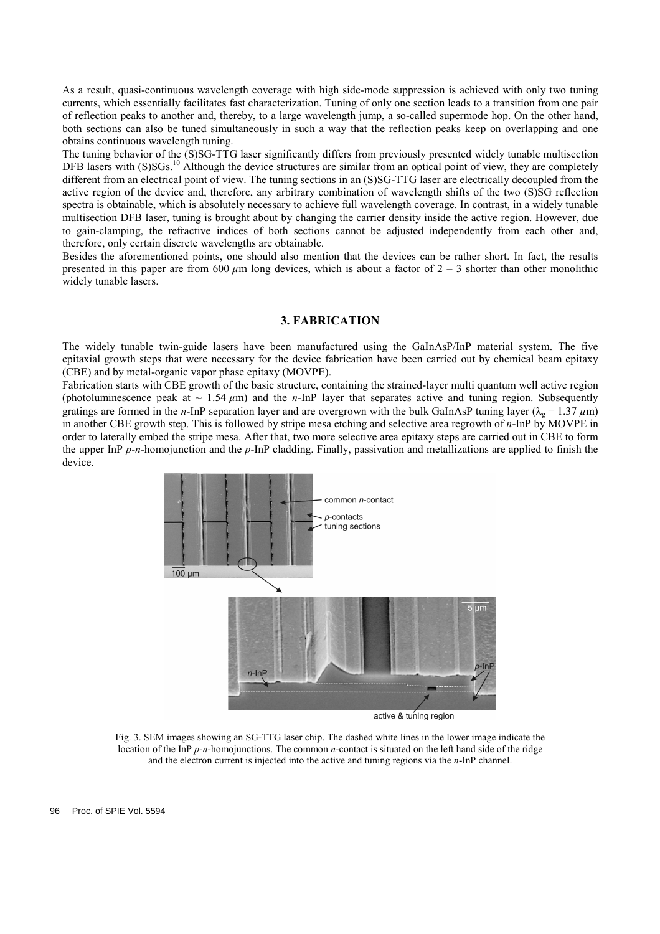As a result, quasi-continuous wavelength coverage with high side-mode suppression is achieved with only two tuning currents, which essentially facilitates fast characterization. Tuning of only one section leads to a transition from one pair of reflection peaks to another and, thereby, to a large wavelength jump, a so-called supermode hop. On the other hand, both sections can also be tuned simultaneously in such a way that the reflection peaks keep on overlapping and one obtains continuous wavelength tuning.

The tuning behavior of the (S)SG-TTG laser significantly differs from previously presented widely tunable multisection DFB lasers with (S)SGs.<sup>10</sup> Although the device structures are similar from an optical point of view, they are completely different from an electrical point of view. The tuning sections in an (S)SG-TTG laser are electrically decoupled from the active region of the device and, therefore, any arbitrary combination of wavelength shifts of the two (S)SG reflection spectra is obtainable, which is absolutely necessary to achieve full wavelength coverage. In contrast, in a widely tunable multisection DFB laser, tuning is brought about by changing the carrier density inside the active region. However, due to gain-clamping, the refractive indices of both sections cannot be adjusted independently from each other and, therefore, only certain discrete wavelengths are obtainable.

Besides the aforementioned points, one should also mention that the devices can be rather short. In fact, the results presented in this paper are from 600  $\mu$ m long devices, which is about a factor of 2 – 3 shorter than other monolithic widely tunable lasers.

## **3. FABRICATION**

The widely tunable twin-guide lasers have been manufactured using the GaInAsP/InP material system. The five epitaxial growth steps that were necessary for the device fabrication have been carried out by chemical beam epitaxy (CBE) and by metal-organic vapor phase epitaxy (MOVPE).

Fabrication starts with CBE growth of the basic structure, containing the strained-layer multi quantum well active region (photoluminescence peak at  $\sim 1.54 \mu m$ ) and the *n*-InP layer that separates active and tuning region. Subsequently gratings are formed in the *n*-InP separation layer and are overgrown with the bulk GaInAsP tuning layer ( $\lambda_g = 1.37 \mu m$ ) in another CBE growth step. This is followed by stripe mesa etching and selective area regrowth of *n*-InP by MOVPE in order to laterally embed the stripe mesa. After that, two more selective area epitaxy steps are carried out in CBE to form the upper InP *p*-*n*-homojunction and the *p*-InP cladding. Finally, passivation and metallizations are applied to finish the device.



Fig. 3. SEM images showing an SG-TTG laser chip. The dashed white lines in the lower image indicate the location of the InP *p*-*n*-homojunctions. The common *n*-contact is situated on the left hand side of the ridge and the electron current is injected into the active and tuning regions via the *n*-InP channel.

96 Proc. of SPIE Vol. 5594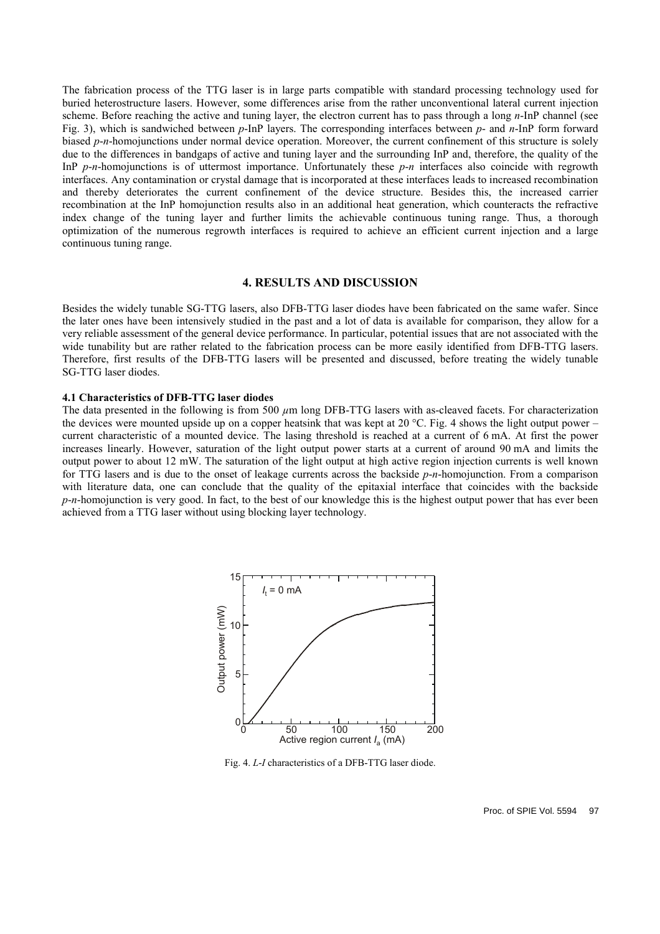The fabrication process of the TTG laser is in large parts compatible with standard processing technology used for buried heterostructure lasers. However, some differences arise from the rather unconventional lateral current injection scheme. Before reaching the active and tuning layer, the electron current has to pass through a long *n*-InP channel (see Fig. 3), which is sandwiched between *p*-InP layers. The corresponding interfaces between *p*- and *n*-InP form forward biased *p*-*n*-homojunctions under normal device operation. Moreover, the current confinement of this structure is solely due to the differences in bandgaps of active and tuning layer and the surrounding InP and, therefore, the quality of the InP *p*-*n*-homojunctions is of uttermost importance. Unfortunately these *p*-*n* interfaces also coincide with regrowth interfaces. Any contamination or crystal damage that is incorporated at these interfaces leads to increased recombination and thereby deteriorates the current confinement of the device structure. Besides this, the increased carrier recombination at the InP homojunction results also in an additional heat generation, which counteracts the refractive index change of the tuning layer and further limits the achievable continuous tuning range. Thus, a thorough optimization of the numerous regrowth interfaces is required to achieve an efficient current injection and a large continuous tuning range.

#### **4. RESULTS AND DISCUSSION**

Besides the widely tunable SG-TTG lasers, also DFB-TTG laser diodes have been fabricated on the same wafer. Since the later ones have been intensively studied in the past and a lot of data is available for comparison, they allow for a very reliable assessment of the general device performance. In particular, potential issues that are not associated with the wide tunability but are rather related to the fabrication process can be more easily identified from DFB-TTG lasers. Therefore, first results of the DFB-TTG lasers will be presented and discussed, before treating the widely tunable SG-TTG laser diodes.

#### **4.1 Characteristics of DFB-TTG laser diodes**

The data presented in the following is from 500  $\mu$ m long DFB-TTG lasers with as-cleaved facets. For characterization the devices were mounted upside up on a copper heatsink that was kept at 20 °C. Fig. 4 shows the light output power – current characteristic of a mounted device. The lasing threshold is reached at a current of 6 mA. At first the power increases linearly. However, saturation of the light output power starts at a current of around 90 mA and limits the output power to about 12 mW. The saturation of the light output at high active region injection currents is well known for TTG lasers and is due to the onset of leakage currents across the backside *p*-*n*-homojunction. From a comparison with literature data, one can conclude that the quality of the epitaxial interface that coincides with the backside *p*-*n*-homojunction is very good. In fact, to the best of our knowledge this is the highest output power that has ever been achieved from a TTG laser without using blocking layer technology.



Fig. 4. *L*-*I* characteristics of a DFB-TTG laser diode.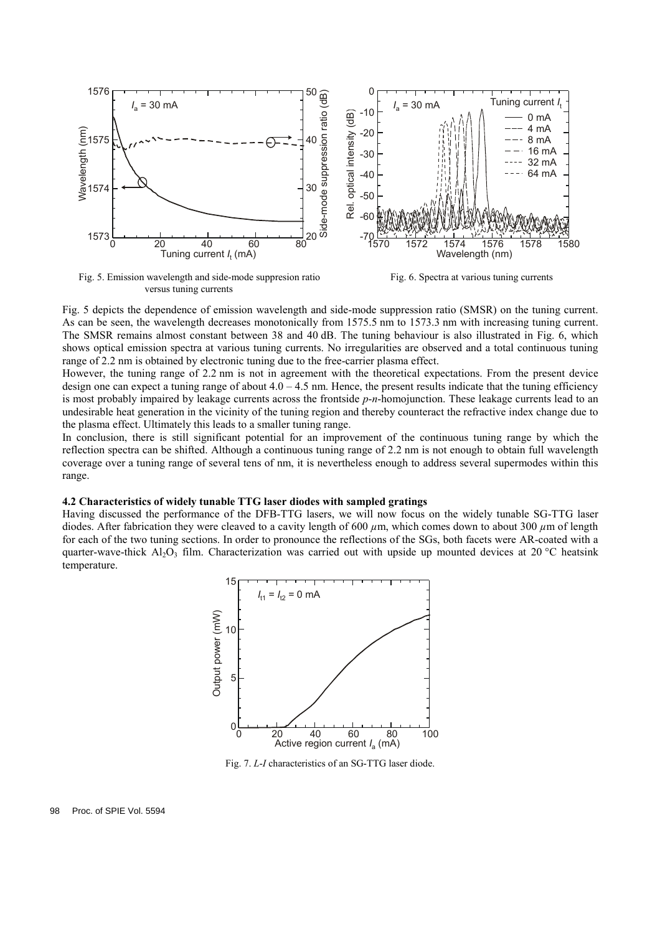

Fig. 5. Emission wavelength and side-mode suppresion ratio Fig. 6. Spectra at various tuning currents versus tuning currents

Fig. 5 depicts the dependence of emission wavelength and side-mode suppression ratio (SMSR) on the tuning current. As can be seen, the wavelength decreases monotonically from 1575.5 nm to 1573.3 nm with increasing tuning current. The SMSR remains almost constant between 38 and 40 dB. The tuning behaviour is also illustrated in Fig. 6, which shows optical emission spectra at various tuning currents. No irregularities are observed and a total continuous tuning range of 2.2 nm is obtained by electronic tuning due to the free-carrier plasma effect.

However, the tuning range of 2.2 nm is not in agreement with the theoretical expectations. From the present device design one can expect a tuning range of about  $4.0 - 4.5$  nm. Hence, the present results indicate that the tuning efficiency is most probably impaired by leakage currents across the frontside *p*-*n*-homojunction. These leakage currents lead to an undesirable heat generation in the vicinity of the tuning region and thereby counteract the refractive index change due to the plasma effect. Ultimately this leads to a smaller tuning range.

In conclusion, there is still significant potential for an improvement of the continuous tuning range by which the reflection spectra can be shifted. Although a continuous tuning range of 2.2 nm is not enough to obtain full wavelength coverage over a tuning range of several tens of nm, it is nevertheless enough to address several supermodes within this range.

#### **4.2 Characteristics of widely tunable TTG laser diodes with sampled gratings**

Having discussed the performance of the DFB-TTG lasers, we will now focus on the widely tunable SG-TTG laser diodes. After fabrication they were cleaved to a cavity length of 600 *µ*m, which comes down to about 300 *µ*m of length for each of the two tuning sections. In order to pronounce the reflections of the SGs, both facets were AR-coated with a quarter-wave-thick Al<sub>2</sub>O<sub>3</sub> film. Characterization was carried out with upside up mounted devices at 20 °C heatsink temperature.



Fig. 7. *L*-*I* characteristics of an SG-TTG laser diode.

98 Proc. of SPIE Vol. 5594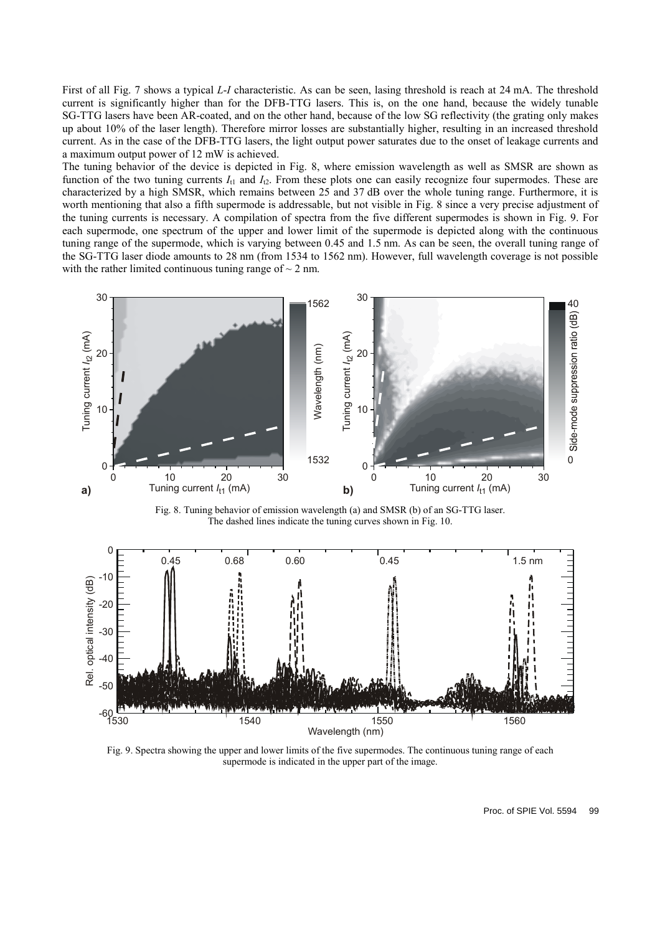First of all Fig. 7 shows a typical *L*-*I* characteristic. As can be seen, lasing threshold is reach at 24 mA. The threshold current is significantly higher than for the DFB-TTG lasers. This is, on the one hand, because the widely tunable SG-TTG lasers have been AR-coated, and on the other hand, because of the low SG reflectivity (the grating only makes up about 10% of the laser length). Therefore mirror losses are substantially higher, resulting in an increased threshold current. As in the case of the DFB-TTG lasers, the light output power saturates due to the onset of leakage currents and a maximum output power of 12 mW is achieved.

The tuning behavior of the device is depicted in Fig. 8, where emission wavelength as well as SMSR are shown as function of the two tuning currents  $I_{t1}$  and  $I_{t2}$ . From these plots one can easily recognize four supermodes. These are characterized by a high SMSR, which remains between 25 and 37 dB over the whole tuning range. Furthermore, it is worth mentioning that also a fifth supermode is addressable, but not visible in Fig. 8 since a very precise adjustment of the tuning currents is necessary. A compilation of spectra from the five different supermodes is shown in Fig. 9. For each supermode, one spectrum of the upper and lower limit of the supermode is depicted along with the continuous tuning range of the supermode, which is varying between 0.45 and 1.5 nm. As can be seen, the overall tuning range of the SG-TTG laser diode amounts to 28 nm (from 1534 to 1562 nm). However, full wavelength coverage is not possible with the rather limited continuous tuning range of  $\sim$  2 nm.



Fig. 8. Tuning behavior of emission wavelength (a) and SMSR (b) of an SG-TTG laser. The dashed lines indicate the tuning curves shown in Fig. 10.



Fig. 9. Spectra showing the upper and lower limits of the five supermodes. The continuous tuning range of each supermode is indicated in the upper part of the image.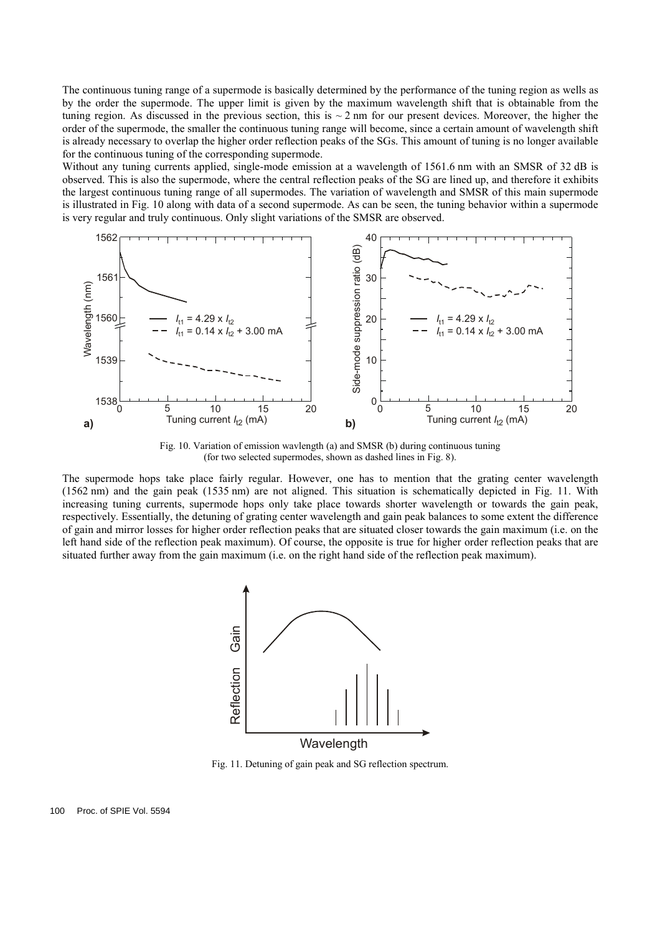The continuous tuning range of a supermode is basically determined by the performance of the tuning region as wells as by the order the supermode. The upper limit is given by the maximum wavelength shift that is obtainable from the tuning region. As discussed in the previous section, this is  $\sim$  2 nm for our present devices. Moreover, the higher the order of the supermode, the smaller the continuous tuning range will become, since a certain amount of wavelength shift is already necessary to overlap the higher order reflection peaks of the SGs. This amount of tuning is no longer available for the continuous tuning of the corresponding supermode.

Without any tuning currents applied, single-mode emission at a wavelength of 1561.6 nm with an SMSR of 32 dB is observed. This is also the supermode, where the central reflection peaks of the SG are lined up, and therefore it exhibits the largest continuous tuning range of all supermodes. The variation of wavelength and SMSR of this main supermode is illustrated in Fig. 10 along with data of a second supermode. As can be seen, the tuning behavior within a supermode is very regular and truly continuous. Only slight variations of the SMSR are observed.



Fig. 10. Variation of emission wavlength (a) and SMSR (b) during continuous tuning (for two selected supermodes, shown as dashed lines in Fig. 8).

The supermode hops take place fairly regular. However, one has to mention that the grating center wavelength (1562 nm) and the gain peak (1535 nm) are not aligned. This situation is schematically depicted in Fig. 11. With increasing tuning currents, supermode hops only take place towards shorter wavelength or towards the gain peak, respectively. Essentially, the detuning of grating center wavelength and gain peak balances to some extent the difference of gain and mirror losses for higher order reflection peaks that are situated closer towards the gain maximum (i.e. on the left hand side of the reflection peak maximum). Of course, the opposite is true for higher order reflection peaks that are situated further away from the gain maximum (i.e. on the right hand side of the reflection peak maximum).



Fig. 11. Detuning of gain peak and SG reflection spectrum.